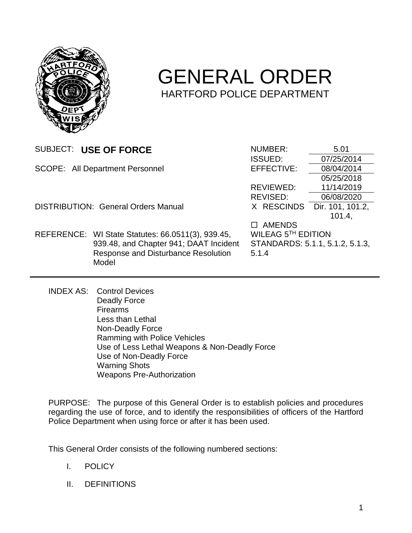

# GENERAL ORDER HARTFORD POLICE DEPARTMENT

|                                            | SUBJECT: USE OF FORCE                             | <b>NUMBER:</b>     | 5.01                            |
|--------------------------------------------|---------------------------------------------------|--------------------|---------------------------------|
|                                            |                                                   | <b>ISSUED:</b>     | 07/25/2014                      |
|                                            | <b>SCOPE: All Department Personnel</b>            | EFFECTIVE:         | 08/04/2014                      |
|                                            |                                                   |                    | 05/25/2018                      |
|                                            |                                                   | REVIEWED:          | 11/14/2019                      |
|                                            |                                                   | REVISED:           | 06/08/2020                      |
| <b>DISTRIBUTION: General Orders Manual</b> |                                                   | X RESCINDS         | Dir. 101, 101.2,                |
|                                            |                                                   |                    | 101.4                           |
|                                            |                                                   | <b>AMENDS</b>      |                                 |
|                                            | REFERENCE: WI State Statutes: 66.0511(3), 939.45, | WILEAG 5TH EDITION |                                 |
|                                            | 939.48, and Chapter 941; DAAT Incident            |                    | STANDARDS: 5.1.1, 5.1.2, 5.1.3, |
|                                            | Response and Disturbance Resolution               | 5.1.4              |                                 |
|                                            | Model                                             |                    |                                 |
|                                            |                                                   |                    |                                 |

INDEX AS: Control Devices Deadly Force Firearms Less than Lethal Non-Deadly Force Ramming with Police Vehicles Use of Less Lethal Weapons & Non-Deadly Force Use of Non-Deadly Force Warning Shots Weapons Pre-Authorization

PURPOSE: The purpose of this General Order is to establish policies and procedures regarding the use of force, and to identify the responsibilities of officers of the Hartford Police Department when using force or after it has been used.

This General Order consists of the following numbered sections:

- I. POLICY
- II. DEFINITIONS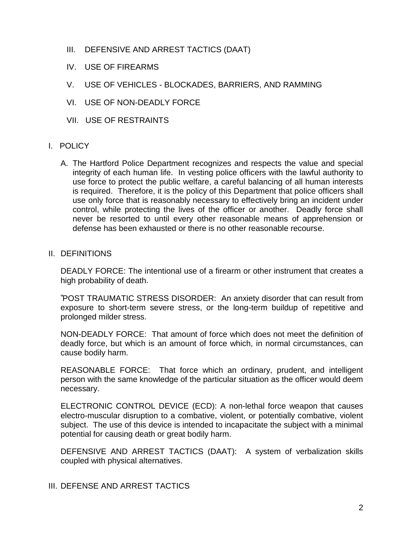- III. DEFENSIVE AND ARREST TACTICS (DAAT)
- IV. USE OF FIREARMS
- V. USE OF VEHICLES BLOCKADES, BARRIERS, AND RAMMING
- VI. USE OF NON-DEADLY FORCE
- VII. USE OF RESTRAINTS

## I. POLICY

A. The Hartford Police Department recognizes and respects the value and special integrity of each human life. In vesting police officers with the lawful authority to use force to protect the public welfare, a careful balancing of all human interests is required. Therefore, it is the policy of this Department that police officers shall use only force that is reasonably necessary to effectively bring an incident under control, while protecting the lives of the officer or another. Deadly force shall never be resorted to until every other reasonable means of apprehension or defense has been exhausted or there is no other reasonable recourse.

#### II. DEFINITIONS

DEADLY FORCE: The intentional use of a firearm or other instrument that creates a high probability of death.

"POST TRAUMATIC STRESS DISORDER: An anxiety disorder that can result from exposure to short-term severe stress, or the long-term buildup of repetitive and prolonged milder stress.

NON-DEADLY FORCE: That amount of force which does not meet the definition of deadly force, but which is an amount of force which, in normal circumstances, can cause bodily harm.

REASONABLE FORCE: That force which an ordinary, prudent, and intelligent person with the same knowledge of the particular situation as the officer would deem necessary.

ELECTRONIC CONTROL DEVICE (ECD): A non-lethal force weapon that causes electro-muscular disruption to a combative, violent, or potentially combative, violent subject. The use of this device is intended to incapacitate the subject with a minimal potential for causing death or great bodily harm.

DEFENSIVE AND ARREST TACTICS (DAAT): A system of verbalization skills coupled with physical alternatives.

## III. DEFENSE AND ARREST TACTICS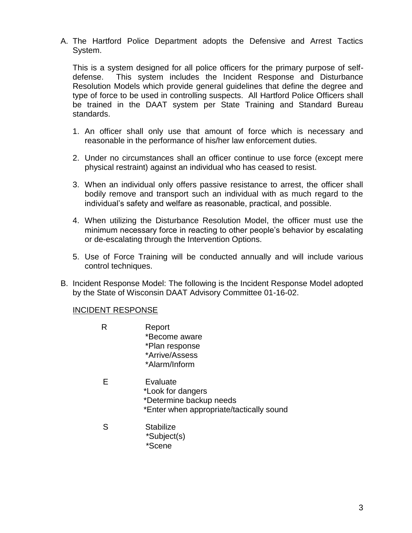A. The Hartford Police Department adopts the Defensive and Arrest Tactics System.

This is a system designed for all police officers for the primary purpose of selfdefense. This system includes the Incident Response and Disturbance Resolution Models which provide general guidelines that define the degree and type of force to be used in controlling suspects. All Hartford Police Officers shall be trained in the DAAT system per State Training and Standard Bureau standards.

- 1. An officer shall only use that amount of force which is necessary and reasonable in the performance of his/her law enforcement duties.
- 2. Under no circumstances shall an officer continue to use force (except mere physical restraint) against an individual who has ceased to resist.
- 3. When an individual only offers passive resistance to arrest, the officer shall bodily remove and transport such an individual with as much regard to the individual's safety and welfare as reasonable, practical, and possible.
- 4. When utilizing the Disturbance Resolution Model, the officer must use the minimum necessary force in reacting to other people's behavior by escalating or de-escalating through the Intervention Options.
- 5. Use of Force Training will be conducted annually and will include various control techniques.
- B. Incident Response Model: The following is the Incident Response Model adopted by the State of Wisconsin DAAT Advisory Committee 01-16-02.

#### INCIDENT RESPONSE

- R Report \*Become aware \*Plan response \*Arrive/Assess \*Alarm/Inform
- E Evaluate \*Look for dangers \*Determine backup needs \*Enter when appropriate/tactically sound
- S Stabilize \*Subject(s) \*Scene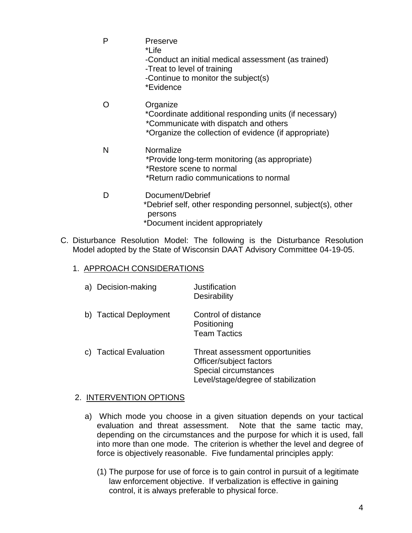| P | Preserve<br>*Life<br>-Conduct an initial medical assessment (as trained)<br>-Treat to level of training<br>-Continue to monitor the subject(s)<br>*Evidence          |
|---|----------------------------------------------------------------------------------------------------------------------------------------------------------------------|
|   | Organize<br>*Coordinate additional responding units (if necessary)<br>*Communicate with dispatch and others<br>*Organize the collection of evidence (if appropriate) |
| N | Normalize<br>*Provide long-term monitoring (as appropriate)<br>*Restore scene to normal<br>*Return radio communications to normal                                    |
| D | Document/Debrief<br>*Debrief self, other responding personnel, subject(s), other<br>persons<br>*Document incident appropriately                                      |

C. Disturbance Resolution Model: The following is the Disturbance Resolution Model adopted by the State of Wisconsin DAAT Advisory Committee 04-19-05.

#### 1. APPROACH CONSIDERATIONS

| a) Decision-making     | Justification<br>Desirability                                                                                              |
|------------------------|----------------------------------------------------------------------------------------------------------------------------|
| b) Tactical Deployment | Control of distance<br>Positioning<br><b>Team Tactics</b>                                                                  |
| c) Tactical Evaluation | Threat assessment opportunities<br>Officer/subject factors<br>Special circumstances<br>Level/stage/degree of stabilization |

#### 2. INTERVENTION OPTIONS

- a) Which mode you choose in a given situation depends on your tactical evaluation and threat assessment. Note that the same tactic may, depending on the circumstances and the purpose for which it is used, fall into more than one mode. The criterion is whether the level and degree of force is objectively reasonable. Five fundamental principles apply:
	- (1) The purpose for use of force is to gain control in pursuit of a legitimate law enforcement objective. If verbalization is effective in gaining control, it is always preferable to physical force.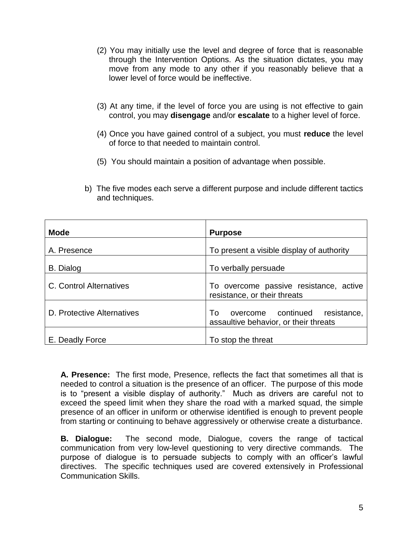- (2) You may initially use the level and degree of force that is reasonable through the Intervention Options. As the situation dictates, you may move from any mode to any other if you reasonably believe that a lower level of force would be ineffective.
- (3) At any time, if the level of force you are using is not effective to gain control, you may **disengage** and/or **escalate** to a higher level of force.
- (4) Once you have gained control of a subject, you must **reduce** the level of force to that needed to maintain control.
- (5) You should maintain a position of advantage when possible.
- b) The five modes each serve a different purpose and include different tactics and techniques.

| <b>Mode</b>                | <b>Purpose</b>                                                                   |  |
|----------------------------|----------------------------------------------------------------------------------|--|
| A. Presence                | To present a visible display of authority                                        |  |
| B. Dialog                  | To verbally persuade                                                             |  |
| C. Control Alternatives    | To overcome passive resistance, active<br>resistance, or their threats           |  |
| D. Protective Alternatives | overcome continued<br>resistance,<br>To<br>assaultive behavior, or their threats |  |
| E. Deadly Force            | To stop the threat                                                               |  |

**A. Presence:** The first mode, Presence, reflects the fact that sometimes all that is needed to control a situation is the presence of an officer. The purpose of this mode is to "present a visible display of authority." Much as drivers are careful not to exceed the speed limit when they share the road with a marked squad, the simple presence of an officer in uniform or otherwise identified is enough to prevent people from starting or continuing to behave aggressively or otherwise create a disturbance.

**B. Dialogue:** The second mode, Dialogue, covers the range of tactical communication from very low-level questioning to very directive commands. The purpose of dialogue is to persuade subjects to comply with an officer's lawful directives. The specific techniques used are covered extensively in Professional Communication Skills.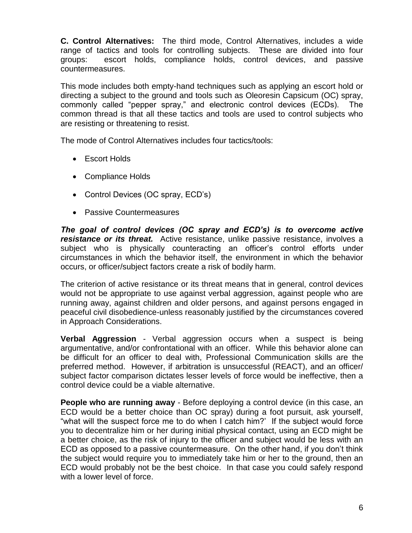**C. Control Alternatives:** The third mode, Control Alternatives, includes a wide range of tactics and tools for controlling subjects. These are divided into four groups: escort holds, compliance holds, control devices, and passive countermeasures.

This mode includes both empty-hand techniques such as applying an escort hold or directing a subject to the ground and tools such as Oleoresin Capsicum (OC) spray, commonly called "pepper spray," and electronic control devices (ECDs). The common thread is that all these tactics and tools are used to control subjects who are resisting or threatening to resist.

The mode of Control Alternatives includes four tactics/tools:

- Escort Holds
- Compliance Holds
- Control Devices (OC spray, ECD's)
- Passive Countermeasures

*The goal of control devices (OC spray and ECD's) is to overcome active resistance or its threat.* Active resistance, unlike passive resistance, involves a subject who is physically counteracting an officer's control efforts under circumstances in which the behavior itself, the environment in which the behavior occurs, or officer/subject factors create a risk of bodily harm.

The criterion of active resistance or its threat means that in general, control devices would not be appropriate to use against verbal aggression, against people who are running away, against children and older persons, and against persons engaged in peaceful civil disobedience-unless reasonably justified by the circumstances covered in Approach Considerations.

**Verbal Aggression** - Verbal aggression occurs when a suspect is being argumentative, and/or confrontational with an officer. While this behavior alone can be difficult for an officer to deal with, Professional Communication skills are the preferred method. However, if arbitration is unsuccessful (REACT), and an officer/ subject factor comparison dictates lesser levels of force would be ineffective, then a control device could be a viable alternative.

**People who are running away** - Before deploying a control device (in this case, an ECD would be a better choice than OC spray) during a foot pursuit, ask yourself, "what will the suspect force me to do when I catch him?' If the subject would force you to decentralize him or her during initial physical contact, using an ECD might be a better choice, as the risk of injury to the officer and subject would be less with an ECD as opposed to a passive countermeasure. On the other hand, if you don't think the subject would require you to immediately take him or her to the ground, then an ECD would probably not be the best choice. In that case you could safely respond with a lower level of force.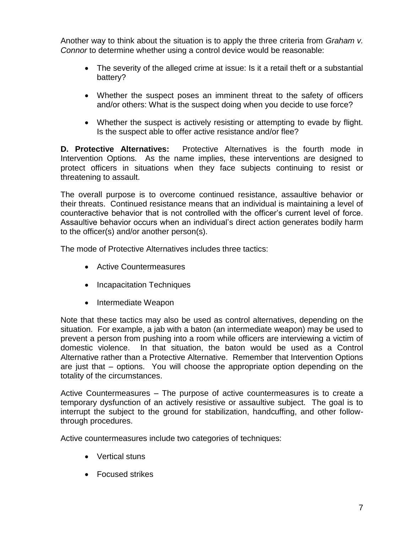Another way to think about the situation is to apply the three criteria from *Graham v. Connor* to determine whether using a control device would be reasonable:

- The severity of the alleged crime at issue: Is it a retail theft or a substantial battery?
- Whether the suspect poses an imminent threat to the safety of officers and/or others: What is the suspect doing when you decide to use force?
- Whether the suspect is actively resisting or attempting to evade by flight. Is the suspect able to offer active resistance and/or flee?

**D. Protective Alternatives:** Protective Alternatives is the fourth mode in Intervention Options. As the name implies, these interventions are designed to protect officers in situations when they face subjects continuing to resist or threatening to assault.

The overall purpose is to overcome continued resistance, assaultive behavior or their threats. Continued resistance means that an individual is maintaining a level of counteractive behavior that is not controlled with the officer's current level of force. Assaultive behavior occurs when an individual's direct action generates bodily harm to the officer(s) and/or another person(s).

The mode of Protective Alternatives includes three tactics:

- Active Countermeasures
- Incapacitation Techniques
- Intermediate Weapon

Note that these tactics may also be used as control alternatives, depending on the situation. For example, a jab with a baton (an intermediate weapon) may be used to prevent a person from pushing into a room while officers are interviewing a victim of domestic violence. In that situation, the baton would be used as a Control Alternative rather than a Protective Alternative. Remember that Intervention Options are just that – options. You will choose the appropriate option depending on the totality of the circumstances.

Active Countermeasures – The purpose of active countermeasures is to create a temporary dysfunction of an actively resistive or assaultive subject. The goal is to interrupt the subject to the ground for stabilization, handcuffing, and other followthrough procedures.

Active countermeasures include two categories of techniques:

- Vertical stuns
- Focused strikes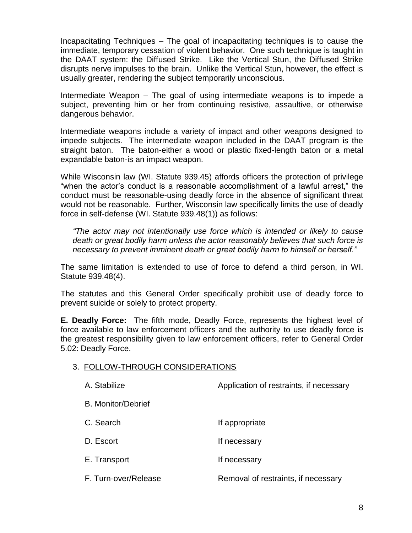Incapacitating Techniques – The goal of incapacitating techniques is to cause the immediate, temporary cessation of violent behavior. One such technique is taught in the DAAT system: the Diffused Strike. Like the Vertical Stun, the Diffused Strike disrupts nerve impulses to the brain. Unlike the Vertical Stun, however, the effect is usually greater, rendering the subject temporarily unconscious.

Intermediate Weapon – The goal of using intermediate weapons is to impede a subject, preventing him or her from continuing resistive, assaultive, or otherwise dangerous behavior.

Intermediate weapons include a variety of impact and other weapons designed to impede subjects. The intermediate weapon included in the DAAT program is the straight baton. The baton-either a wood or plastic fixed-length baton or a metal expandable baton-is an impact weapon.

While Wisconsin law (WI. Statute 939.45) affords officers the protection of privilege "when the actor's conduct is a reasonable accomplishment of a lawful arrest," the conduct must be reasonable-using deadly force in the absence of significant threat would not be reasonable. Further, Wisconsin law specifically limits the use of deadly force in self-defense (WI. Statute 939.48(1)) as follows:

*"The actor may not intentionally use force which is intended or likely to cause death or great bodily harm unless the actor reasonably believes that such force is necessary to prevent imminent death or great bodily harm to himself or herself."*

The same limitation is extended to use of force to defend a third person, in WI. Statute 939.48(4).

The statutes and this General Order specifically prohibit use of deadly force to prevent suicide or solely to protect property.

**E. Deadly Force:** The fifth mode, Deadly Force, represents the highest level of force available to law enforcement officers and the authority to use deadly force is the greatest responsibility given to law enforcement officers, refer to General Order 5.02: Deadly Force.

#### 3. FOLLOW-THROUGH CONSIDERATIONS

| A. Stabilize         | Application of restraints, if necessary |
|----------------------|-----------------------------------------|
| B. Monitor/Debrief   |                                         |
| C. Search            | If appropriate                          |
| D. Escort            | If necessary                            |
| E. Transport         | If necessary                            |
| F. Turn-over/Release | Removal of restraints, if necessary     |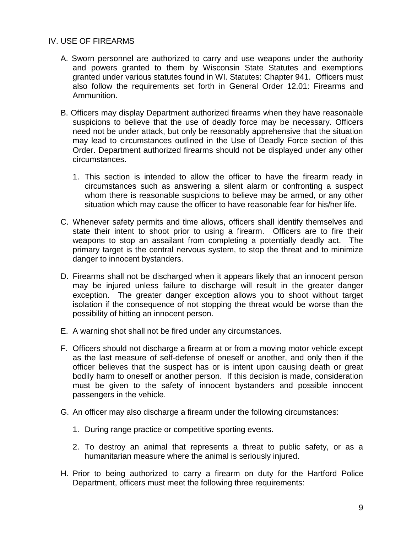## IV. USE OF FIREARMS

- A. Sworn personnel are authorized to carry and use weapons under the authority and powers granted to them by Wisconsin State Statutes and exemptions granted under various statutes found in WI. Statutes: Chapter 941. Officers must also follow the requirements set forth in General Order 12.01: Firearms and Ammunition.
- B. Officers may display Department authorized firearms when they have reasonable suspicions to believe that the use of deadly force may be necessary. Officers need not be under attack, but only be reasonably apprehensive that the situation may lead to circumstances outlined in the Use of Deadly Force section of this Order. Department authorized firearms should not be displayed under any other circumstances.
	- 1. This section is intended to allow the officer to have the firearm ready in circumstances such as answering a silent alarm or confronting a suspect whom there is reasonable suspicions to believe may be armed, or any other situation which may cause the officer to have reasonable fear for his/her life.
- C. Whenever safety permits and time allows, officers shall identify themselves and state their intent to shoot prior to using a firearm. Officers are to fire their weapons to stop an assailant from completing a potentially deadly act. The primary target is the central nervous system, to stop the threat and to minimize danger to innocent bystanders.
- D. Firearms shall not be discharged when it appears likely that an innocent person may be injured unless failure to discharge will result in the greater danger exception. The greater danger exception allows you to shoot without target isolation if the consequence of not stopping the threat would be worse than the possibility of hitting an innocent person.
- E. A warning shot shall not be fired under any circumstances.
- F. Officers should not discharge a firearm at or from a moving motor vehicle except as the last measure of self-defense of oneself or another, and only then if the officer believes that the suspect has or is intent upon causing death or great bodily harm to oneself or another person. If this decision is made, consideration must be given to the safety of innocent bystanders and possible innocent passengers in the vehicle.
- G. An officer may also discharge a firearm under the following circumstances:
	- 1. During range practice or competitive sporting events.
	- 2. To destroy an animal that represents a threat to public safety, or as a humanitarian measure where the animal is seriously injured.
- H. Prior to being authorized to carry a firearm on duty for the Hartford Police Department, officers must meet the following three requirements: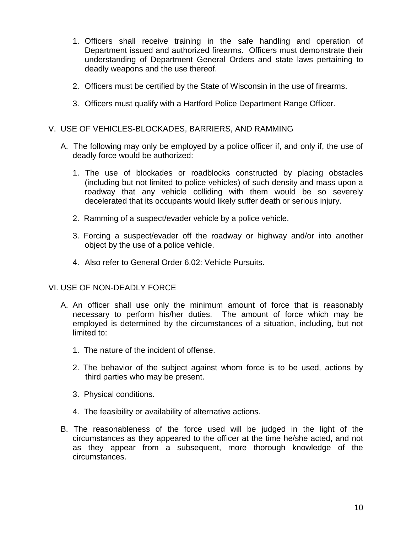- 1. Officers shall receive training in the safe handling and operation of Department issued and authorized firearms. Officers must demonstrate their understanding of Department General Orders and state laws pertaining to deadly weapons and the use thereof.
- 2. Officers must be certified by the State of Wisconsin in the use of firearms.
- 3. Officers must qualify with a Hartford Police Department Range Officer.

## V. USE OF VEHICLES-BLOCKADES, BARRIERS, AND RAMMING

- A. The following may only be employed by a police officer if, and only if, the use of deadly force would be authorized:
	- 1. The use of blockades or roadblocks constructed by placing obstacles (including but not limited to police vehicles) of such density and mass upon a roadway that any vehicle colliding with them would be so severely decelerated that its occupants would likely suffer death or serious injury.
	- 2. Ramming of a suspect/evader vehicle by a police vehicle.
	- 3. Forcing a suspect/evader off the roadway or highway and/or into another object by the use of a police vehicle.
	- 4. Also refer to General Order 6.02: Vehicle Pursuits.

#### VI. USE OF NON-DEADLY FORCE

- A. An officer shall use only the minimum amount of force that is reasonably necessary to perform his/her duties. The amount of force which may be employed is determined by the circumstances of a situation, including, but not limited to:
	- 1. The nature of the incident of offense.
	- 2. The behavior of the subject against whom force is to be used, actions by third parties who may be present.
	- 3. Physical conditions.
	- 4. The feasibility or availability of alternative actions.
- B. The reasonableness of the force used will be judged in the light of the circumstances as they appeared to the officer at the time he/she acted, and not as they appear from a subsequent, more thorough knowledge of the circumstances.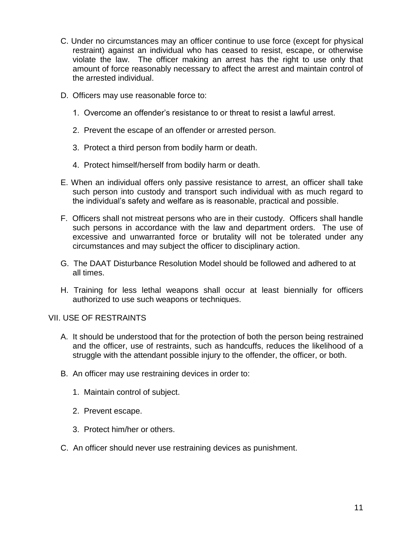- C. Under no circumstances may an officer continue to use force (except for physical restraint) against an individual who has ceased to resist, escape, or otherwise violate the law. The officer making an arrest has the right to use only that amount of force reasonably necessary to affect the arrest and maintain control of the arrested individual.
- D. Officers may use reasonable force to:
	- 1. Overcome an offender's resistance to or threat to resist a lawful arrest.
	- 2. Prevent the escape of an offender or arrested person.
	- 3. Protect a third person from bodily harm or death.
	- 4. Protect himself/herself from bodily harm or death.
- E. When an individual offers only passive resistance to arrest, an officer shall take such person into custody and transport such individual with as much regard to the individual's safety and welfare as is reasonable, practical and possible.
- F. Officers shall not mistreat persons who are in their custody. Officers shall handle such persons in accordance with the law and department orders. The use of excessive and unwarranted force or brutality will not be tolerated under any circumstances and may subject the officer to disciplinary action.
- G. The DAAT Disturbance Resolution Model should be followed and adhered to at all times.
- H. Training for less lethal weapons shall occur at least biennially for officers authorized to use such weapons or techniques.

#### VII. USE OF RESTRAINTS

- A. It should be understood that for the protection of both the person being restrained and the officer, use of restraints, such as handcuffs, reduces the likelihood of a struggle with the attendant possible injury to the offender, the officer, or both.
- B. An officer may use restraining devices in order to:
	- 1. Maintain control of subject.
	- 2. Prevent escape.
	- 3. Protect him/her or others.
- C. An officer should never use restraining devices as punishment.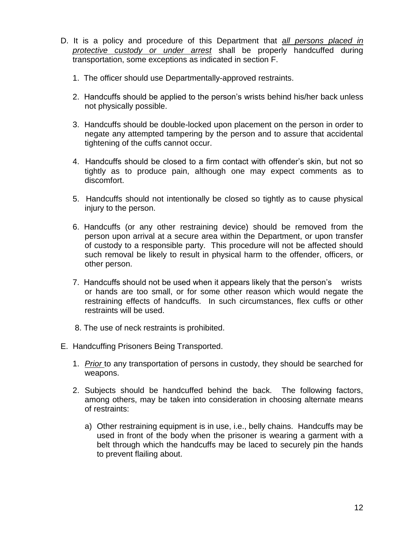- D. It is a policy and procedure of this Department that *all persons placed in protective custody or under arrest* shall be properly handcuffed during transportation, some exceptions as indicated in section F.
	- 1. The officer should use Departmentally-approved restraints.
	- 2. Handcuffs should be applied to the person's wrists behind his/her back unless not physically possible.
	- 3. Handcuffs should be double-locked upon placement on the person in order to negate any attempted tampering by the person and to assure that accidental tightening of the cuffs cannot occur.
	- 4. Handcuffs should be closed to a firm contact with offender's skin, but not so tightly as to produce pain, although one may expect comments as to discomfort.
	- 5. Handcuffs should not intentionally be closed so tightly as to cause physical injury to the person.
	- 6. Handcuffs (or any other restraining device) should be removed from the person upon arrival at a secure area within the Department, or upon transfer of custody to a responsible party. This procedure will not be affected should such removal be likely to result in physical harm to the offender, officers, or other person.
	- 7. Handcuffs should not be used when it appears likely that the person's wrists or hands are too small, or for some other reason which would negate the restraining effects of handcuffs. In such circumstances, flex cuffs or other restraints will be used.
	- 8. The use of neck restraints is prohibited.
- E. Handcuffing Prisoners Being Transported.
	- 1. *Prior* to any transportation of persons in custody, they should be searched for weapons.
	- 2. Subjects should be handcuffed behind the back. The following factors, among others, may be taken into consideration in choosing alternate means of restraints:
		- a) Other restraining equipment is in use, i.e., belly chains. Handcuffs may be used in front of the body when the prisoner is wearing a garment with a belt through which the handcuffs may be laced to securely pin the hands to prevent flailing about.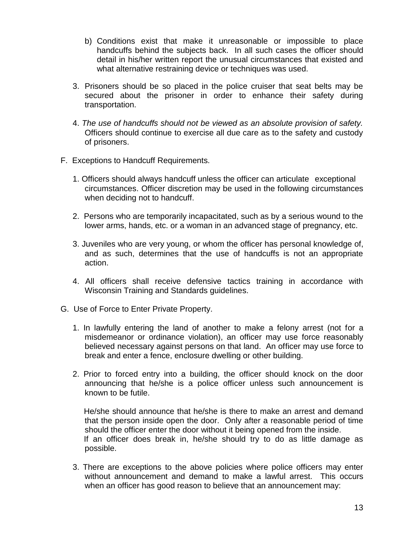- b) Conditions exist that make it unreasonable or impossible to place handcuffs behind the subjects back. In all such cases the officer should detail in his/her written report the unusual circumstances that existed and what alternative restraining device or techniques was used.
- 3. Prisoners should be so placed in the police cruiser that seat belts may be secured about the prisoner in order to enhance their safety during transportation.
- 4. *The use of handcuffs should not be viewed as an absolute provision of safety.* Officers should continue to exercise all due care as to the safety and custody of prisoners.
- F. Exceptions to Handcuff Requirements.
	- 1. Officers should always handcuff unless the officer can articulate exceptional circumstances. Officer discretion may be used in the following circumstances when deciding not to handcuff.
	- 2. Persons who are temporarily incapacitated, such as by a serious wound to the lower arms, hands, etc. or a woman in an advanced stage of pregnancy, etc.
	- 3. Juveniles who are very young, or whom the officer has personal knowledge of, and as such, determines that the use of handcuffs is not an appropriate action.
	- 4. All officers shall receive defensive tactics training in accordance with Wisconsin Training and Standards guidelines.
- G. Use of Force to Enter Private Property.
	- 1. In lawfully entering the land of another to make a felony arrest (not for a misdemeanor or ordinance violation), an officer may use force reasonably believed necessary against persons on that land. An officer may use force to break and enter a fence, enclosure dwelling or other building.
	- 2. Prior to forced entry into a building, the officer should knock on the door announcing that he/she is a police officer unless such announcement is known to be futile.

 He/she should announce that he/she is there to make an arrest and demand that the person inside open the door. Only after a reasonable period of time should the officer enter the door without it being opened from the inside. If an officer does break in, he/she should try to do as little damage as possible.

3. There are exceptions to the above policies where police officers may enter without announcement and demand to make a lawful arrest. This occurs when an officer has good reason to believe that an announcement may: